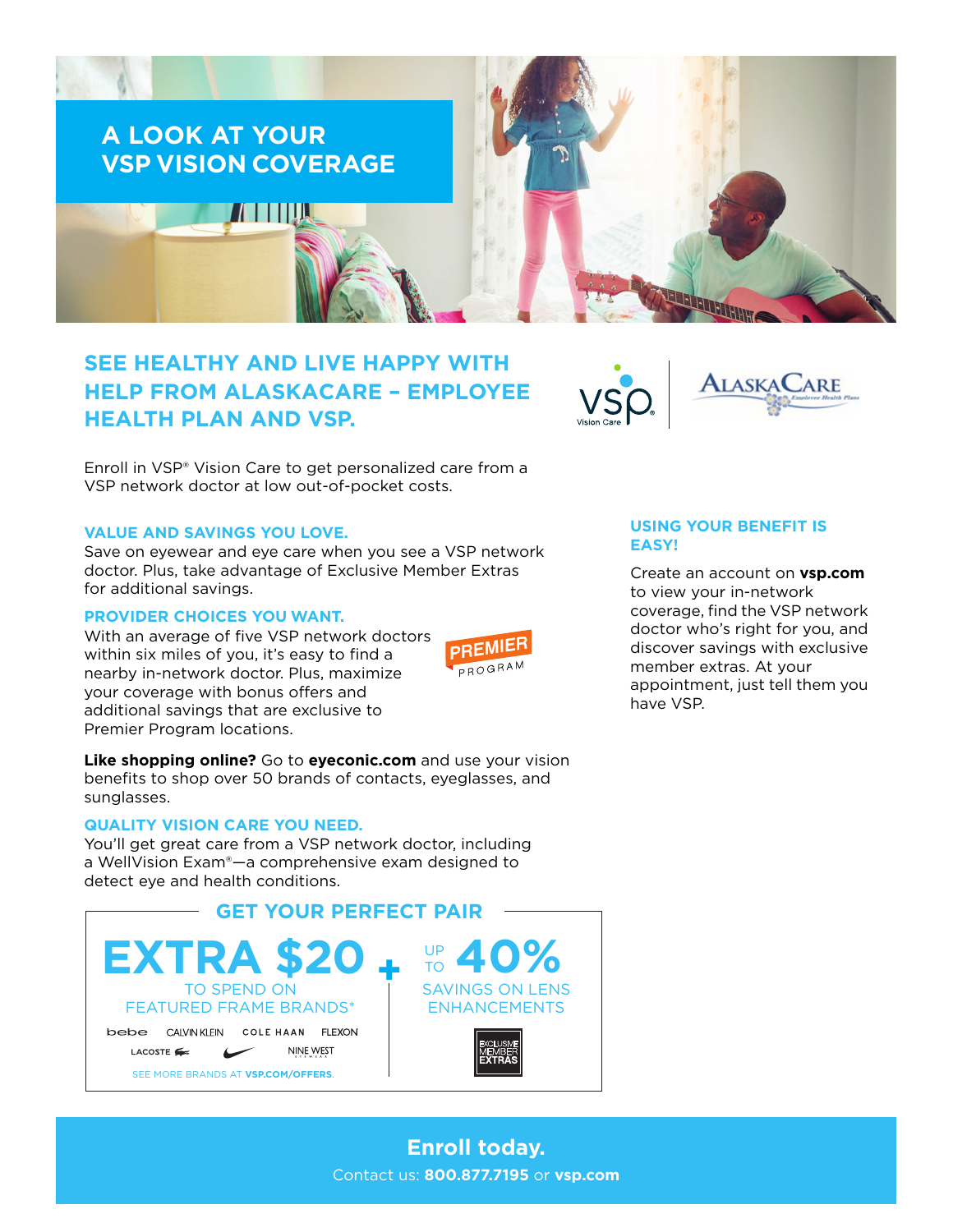

# **SEE HEALTHY AND LIVE HAPPY WITH HELP FROM ALASKACARE – EMPLOYEE HEALTH PLAN AND VSP.**



Enroll in VSP® Vision Care to get personalized care from a VSP network doctor at low out-of-pocket costs.

### **VALUE AND SAVINGS YOU LOVE.**

Save on eyewear and eye care when you see a VSP network doctor. Plus, take advantage of Exclusive Member Extras for additional savings.

# **PROVIDER CHOICES YOU WANT.**

With an average of five VSP network doctors within six miles of you, it's easy to find a nearby in-network doctor. Plus, maximize your coverage with bonus offers and additional savings that are exclusive to Premier Program locations.



**Like shopping online?** Go to **[eyeconic.com](https://www.eyeconic.com)** and use your vision benefits to shop over 50 brands of contacts, eyeglasses, and sunglasses.

#### **QUALITY VISION CARE YOU NEED.**

You'll get great care from a VSP network doctor, including a WellVision Exam®—a comprehensive exam designed to detect eye and health conditions.



# **USING YOUR BENEFIT IS EASY!**

Create an account on **[vsp.com](http://www.vsp.com)** to view your in-network coverage, find the VSP network doctor who's right for you, and discover savings with exclusive member extras. At your appointment, just tell them you have VSP.

# **Enroll today.** Contact us: **800.877.7195** or **[vsp.com](http://www.vsp.com)**